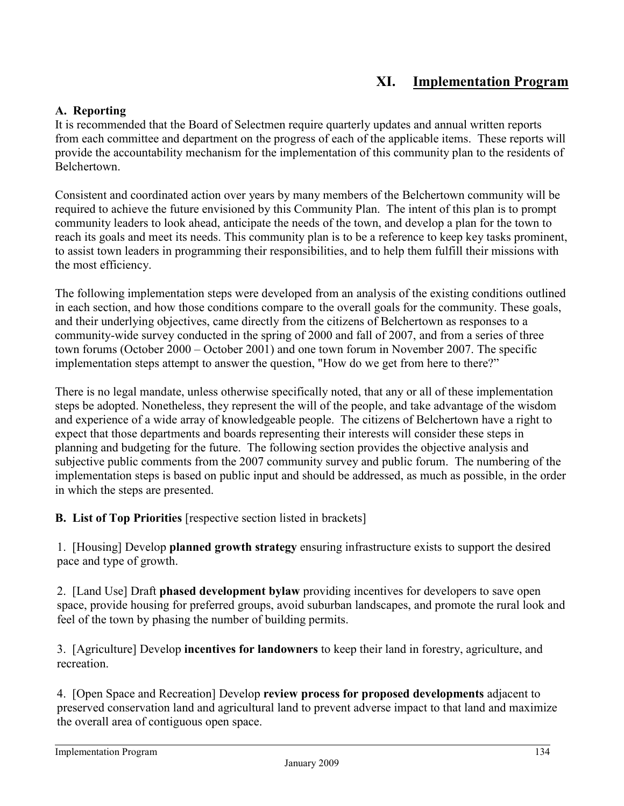## **XI. Implementation Program**

## **A. Reporting**

It is recommended that the Board of Selectmen require quarterly updates and annual written reports from each committee and department on the progress of each of the applicable items. These reports will provide the accountability mechanism for the implementation of this community plan to the residents of **Belchertown** 

Consistent and coordinated action over years by many members of the Belchertown community will be required to achieve the future envisioned by this Community Plan. The intent of this plan is to prompt community leaders to look ahead, anticipate the needs of the town, and develop a plan for the town to reach its goals and meet its needs. This community plan is to be a reference to keep key tasks prominent, to assist town leaders in programming their responsibilities, and to help them fulfill their missions with the most efficiency.

The following implementation steps were developed from an analysis of the existing conditions outlined in each section, and how those conditions compare to the overall goals for the community. These goals, and their underlying objectives, came directly from the citizens of Belchertown as responses to a community-wide survey conducted in the spring of 2000 and fall of 2007, and from a series of three town forums (October 2000 – October 2001) and one town forum in November 2007. The specific implementation steps attempt to answer the question, "How do we get from here to there?"

There is no legal mandate, unless otherwise specifically noted, that any or all of these implementation steps be adopted. Nonetheless, they represent the will of the people, and take advantage of the wisdom and experience of a wide array of knowledgeable people. The citizens of Belchertown have a right to expect that those departments and boards representing their interests will consider these steps in planning and budgeting for the future. The following section provides the objective analysis and subjective public comments from the 2007 community survey and public forum. The numbering of the implementation steps is based on public input and should be addressed, as much as possible, in the order in which the steps are presented.

**B. List of Top Priorities** [respective section listed in brackets]

1. [Housing] Develop **planned growth strategy** ensuring infrastructure exists to support the desired pace and type of growth.

2. [Land Use] Draft **phased development bylaw** providing incentives for developers to save open space, provide housing for preferred groups, avoid suburban landscapes, and promote the rural look and feel of the town by phasing the number of building permits.

3. [Agriculture] Develop **incentives for landowners** to keep their land in forestry, agriculture, and recreation.

4. [Open Space and Recreation] Develop **review process for proposed developments** adjacent to preserved conservation land and agricultural land to prevent adverse impact to that land and maximize the overall area of contiguous open space.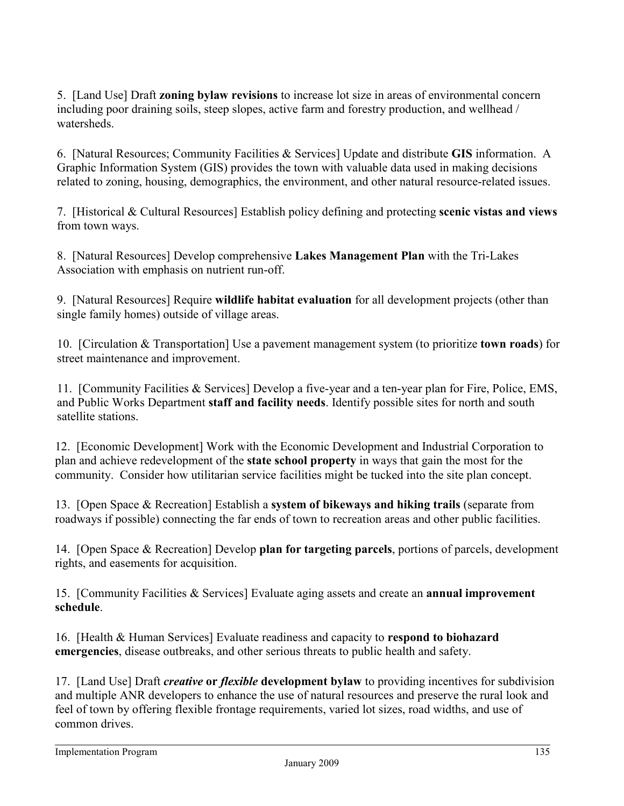5. [Land Use] Draft **zoning bylaw revisions** to increase lot size in areas of environmental concern including poor draining soils, steep slopes, active farm and forestry production, and wellhead / watersheds.

6. [Natural Resources; Community Facilities & Services] Update and distribute **GIS** information. A Graphic Information System (GIS) provides the town with valuable data used in making decisions related to zoning, housing, demographics, the environment, and other natural resource-related issues.

7. [Historical & Cultural Resources] Establish policy defining and protecting **scenic vistas and views** from town ways.

8. [Natural Resources] Develop comprehensive **Lakes Management Plan** with the Tri-Lakes Association with emphasis on nutrient run-off.

9. [Natural Resources] Require **wildlife habitat evaluation** for all development projects (other than single family homes) outside of village areas.

10. [Circulation & Transportation] Use a pavement management system (to prioritize **town roads**) for street maintenance and improvement.

11. [Community Facilities & Services] Develop a five-year and a ten-year plan for Fire, Police, EMS, and Public Works Department **staff and facility needs**. Identify possible sites for north and south satellite stations.

12. [Economic Development] Work with the Economic Development and Industrial Corporation to plan and achieve redevelopment of the **state school property** in ways that gain the most for the community. Consider how utilitarian service facilities might be tucked into the site plan concept.

13. [Open Space & Recreation] Establish a **system of bikeways and hiking trails** (separate from roadways if possible) connecting the far ends of town to recreation areas and other public facilities.

14. [Open Space & Recreation] Develop **plan for targeting parcels**, portions of parcels, development rights, and easements for acquisition.

15. [Community Facilities & Services] Evaluate aging assets and create an **annual improvement schedule**.

16. [Health & Human Services] Evaluate readiness and capacity to **respond to biohazard emergencies**, disease outbreaks, and other serious threats to public health and safety.

17. [Land Use] Draft *creative* **or** *flexible* **development bylaw** to providing incentives for subdivision and multiple ANR developers to enhance the use of natural resources and preserve the rural look and feel of town by offering flexible frontage requirements, varied lot sizes, road widths, and use of common drives.